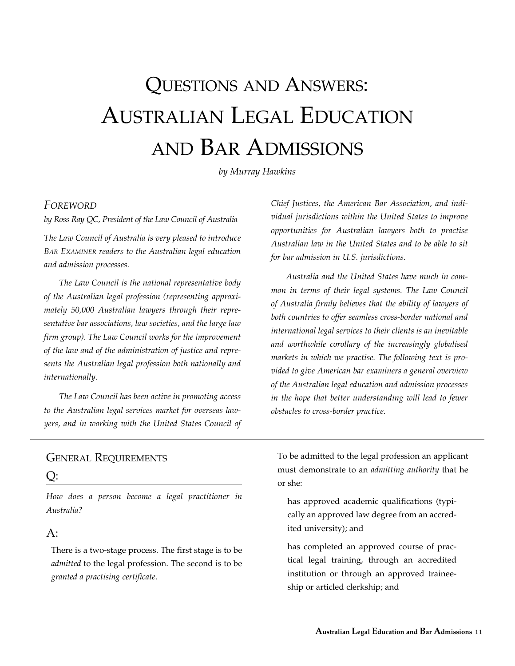# Questions and Answers: Australian Legal Education and Bar Admissions

*by Murray Hawkins* 

#### *Foreword*

*by Ross Ray QC, President of the Law Council of Australia*

*The Law Council of Australia is very pleased to introduce Bar Examiner readers to the Australian legal education and admission processes.*

*The Law Council is the national representative body of the Australian legal profession (representing approximately 50,000 Australian lawyers through their representative bar associations, law societies, and the large law firm group). The Law Council works for the improvement of the law and of the administration of justice and represents the Australian legal profession both nationally and internationally.* 

*The Law Council has been active in promoting access to the Australian legal services market for overseas lawyers, and in working with the United States Council of* 

*Chief Justices, the American Bar Association, and individual jurisdictions within the United States to improve opportunities for Australian lawyers both to practise Australian law in the United States and to be able to sit for bar admission in U.S. jurisdictions.* 

*Australia and the United States have much in common in terms of their legal systems. The Law Council of Australia firmly believes that the ability of lawyers of both countries to offer seamless cross-border national and international legal services to their clients is an inevitable and worthwhile corollary of the increasingly globalised markets in which we practise. The following text is provided to give American bar examiners a general overview of the Australian legal education and admission processes in the hope that better understanding will lead to fewer obstacles to cross-border practice.*

## General Requirements

#### $O:$

*How does a person become a legal practitioner in Australia?*

## $A$ :

There is a two-stage process. The first stage is to be *admitted* to the legal profession. The second is to be *granted a practising certificate*.

To be admitted to the legal profession an applicant must demonstrate to an *admitting authority* that he or she:

has approved academic qualifications (typically an approved law degree from an accredited university); and

has completed an approved course of practical legal training, through an accredited institution or through an approved traineeship or articled clerkship; and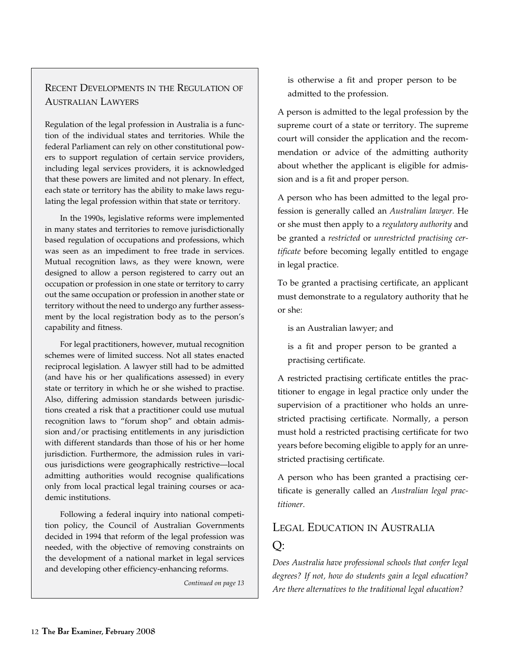## Recent Developments in the Regulation of Australian Lawyers

Regulation of the legal profession in Australia is a function of the individual states and territories. While the federal Parliament can rely on other constitutional powers to support regulation of certain service providers, including legal services providers, it is acknowledged that these powers are limited and not plenary. In effect, each state or territory has the ability to make laws regulating the legal profession within that state or territory.

In the 1990s, legislative reforms were implemented in many states and territories to remove jurisdictionally based regulation of occupations and professions, which was seen as an impediment to free trade in services. Mutual recognition laws, as they were known, were designed to allow a person registered to carry out an occupation or profession in one state or territory to carry out the same occupation or profession in another state or territory without the need to undergo any further assessment by the local registration body as to the person's capability and fitness.

For legal practitioners, however, mutual recognition schemes were of limited success. Not all states enacted reciprocal legislation. A lawyer still had to be admitted (and have his or her qualifications assessed) in every state or territory in which he or she wished to practise. Also, differing admission standards between jurisdictions created a risk that a practitioner could use mutual recognition laws to "forum shop" and obtain admission and/or practising entitlements in any jurisdiction with different standards than those of his or her home jurisdiction. Furthermore, the admission rules in various jurisdictions were geographically restrictive—local admitting authorities would recognise qualifications only from local practical legal training courses or academic institutions.

Following a federal inquiry into national competition policy, the Council of Australian Governments decided in 1994 that reform of the legal profession was needed, with the objective of removing constraints on the development of a national market in legal services and developing other efficiency-enhancing reforms.

*Continued on page 13*

is otherwise a fit and proper person to be admitted to the profession.

A person is admitted to the legal profession by the supreme court of a state or territory. The supreme court will consider the application and the recommendation or advice of the admitting authority about whether the applicant is eligible for admission and is a fit and proper person.

A person who has been admitted to the legal profession is generally called an *Australian lawyer.* He or she must then apply to a *regulatory authority* and be granted a *restricted* or *unrestricted practising certificate* before becoming legally entitled to engage in legal practice.

To be granted a practising certificate, an applicant must demonstrate to a regulatory authority that he or she:

is an Australian lawyer; and

is a fit and proper person to be granted a practising certificate.

A restricted practising certificate entitles the practitioner to engage in legal practice only under the supervision of a practitioner who holds an unrestricted practising certificate. Normally, a person must hold a restricted practising certificate for two years before becoming eligible to apply for an unrestricted practising certificate.

A person who has been granted a practising certificate is generally called an *Australian legal practitioner*.

# Legal Education in Australia Q:

*Does Australia have professional schools that confer legal degrees? If not, how do students gain a legal education? Are there alternatives to the traditional legal education?*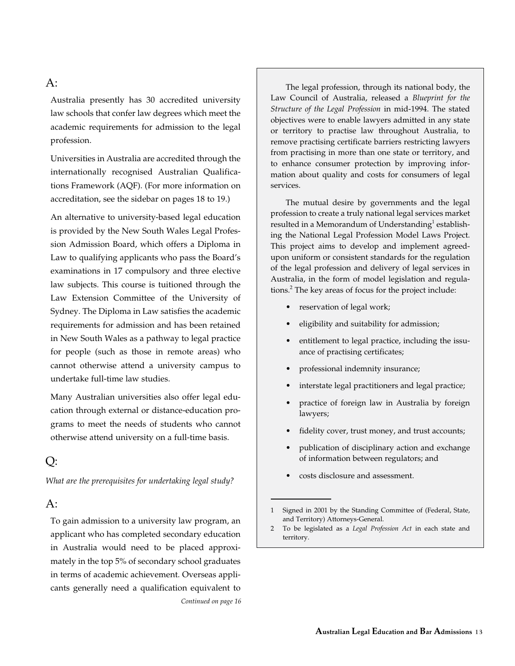## A:

Australia presently has 30 accredited university law schools that confer law degrees which meet the academic requirements for admission to the legal profession.

Universities in Australia are accredited through the internationally recognised Australian Qualifications Framework (AQF). (For more information on accreditation, see the sidebar on pages 18 to 19.)

An alternative to university-based legal education is provided by the New South Wales Legal Profession Admission Board, which offers a Diploma in Law to qualifying applicants who pass the Board's examinations in 17 compulsory and three elective law subjects. This course is tuitioned through the Law Extension Committee of the University of Sydney. The Diploma in Law satisfies the academic requirements for admission and has been retained in New South Wales as a pathway to legal practice for people (such as those in remote areas) who cannot otherwise attend a university campus to undertake full-time law studies.

Many Australian universities also offer legal education through external or distance-education programs to meet the needs of students who cannot otherwise attend university on a full-time basis.

# Q:

*What are the prerequisites for undertaking legal study?*

#### $A$ :

To gain admission to a university law program, an applicant who has completed secondary education in Australia would need to be placed approximately in the top 5% of secondary school graduates in terms of academic achievement. Overseas applicants generally need a qualification equivalent to *Continued on page 16*

The legal profession, through its national body, the Law Council of Australia, released a *Blueprint for the Structure of the Legal Profession* in mid-1994. The stated objectives were to enable lawyers admitted in any state or territory to practise law throughout Australia, to remove practising certificate barriers restricting lawyers from practising in more than one state or territory, and to enhance consumer protection by improving information about quality and costs for consumers of legal services.

The mutual desire by governments and the legal profession to create a truly national legal services market resulted in a Memorandum of Understanding $^1$  establishing the National Legal Profession Model Laws Project. This project aims to develop and implement agreedupon uniform or consistent standards for the regulation of the legal profession and delivery of legal services in Australia, in the form of model legislation and regulations.<sup>2</sup> The key areas of focus for the project include:

- reservation of legal work;
- eligibility and suitability for admission;
- entitlement to legal practice, including the issuance of practising certificates;
- professional indemnity insurance;
- interstate legal practitioners and legal practice;
- practice of foreign law in Australia by foreign lawyers;
- fidelity cover, trust money, and trust accounts;
- publication of disciplinary action and exchange of information between regulators; and
- costs disclosure and assessment.

<sup>1</sup> Signed in 2001 by the Standing Committee of (Federal, State, and Territory) Attorneys-General.

<sup>2</sup> To be legislated as a *Legal Profession Act* in each state and territory.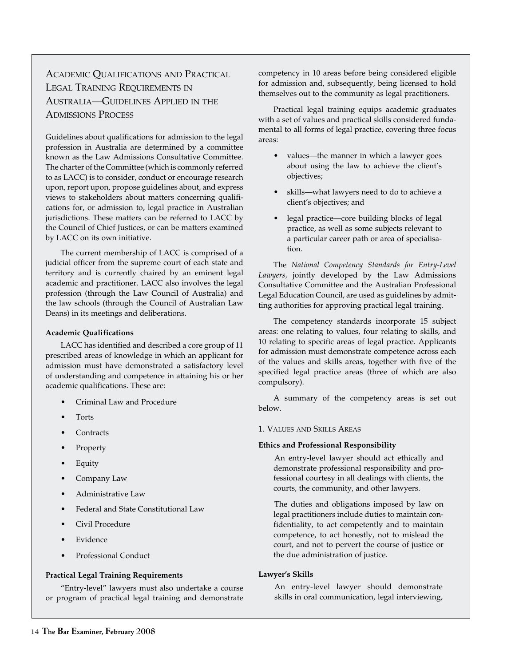# Academic Qualifications and Practical Legal Training Requirements in Australia—Guidelines Applied in the Admissions Process

Guidelines about qualifications for admission to the legal profession in Australia are determined by a committee known as the Law Admissions Consultative Committee. The charter of the Committee (which is commonly referred to as LACC) is to consider, conduct or encourage research upon, report upon, propose guidelines about, and express views to stakeholders about matters concerning qualifications for, or admission to, legal practice in Australian jurisdictions. These matters can be referred to LACC by the Council of Chief Justices, or can be matters examined by LACC on its own initiative.

The current membership of LACC is comprised of a judicial officer from the supreme court of each state and territory and is currently chaired by an eminent legal academic and practitioner. LACC also involves the legal profession (through the Law Council of Australia) and the law schools (through the Council of Australian Law Deans) in its meetings and deliberations.

#### **Academic Qualifications**

LACC has identified and described a core group of 11 prescribed areas of knowledge in which an applicant for admission must have demonstrated a satisfactory level of understanding and competence in attaining his or her academic qualifications. These are:

- Criminal Law and Procedure
- **Torts**
- **Contracts**
- **Property**
- Equity
- Company Law
- Administrative Law
- Federal and State Constitutional Law
- Civil Procedure
- Evidence
- Professional Conduct

#### **Practical Legal Training Requirements**

"Entry-level" lawyers must also undertake a course or program of practical legal training and demonstrate

competency in 10 areas before being considered eligible for admission and, subsequently, being licensed to hold themselves out to the community as legal practitioners.

Practical legal training equips academic graduates with a set of values and practical skills considered fundamental to all forms of legal practice, covering three focus areas:

- values—the manner in which a lawyer goes about using the law to achieve the client's objectives;
- skills—what lawyers need to do to achieve a client's objectives; and
- legal practice—core building blocks of legal practice, as well as some subjects relevant to a particular career path or area of specialisation.

The *National Competency Standards for Entry-Level Lawyers,* jointly developed by the Law Admissions Consultative Committee and the Australian Professional Legal Education Council, are used as guidelines by admitting authorities for approving practical legal training.

The competency standards incorporate 15 subject areas: one relating to values, four relating to skills, and 10 relating to specific areas of legal practice. Applicants for admission must demonstrate competence across each of the values and skills areas, together with five of the specified legal practice areas (three of which are also compulsory).

A summary of the competency areas is set out below.

#### 1. Values and Skills Areas

#### **Ethics and Professional Responsibility**

An entry-level lawyer should act ethically and demonstrate professional responsibility and professional courtesy in all dealings with clients, the courts, the community, and other lawyers.

The duties and obligations imposed by law on legal practitioners include duties to maintain confidentiality, to act competently and to maintain competence, to act honestly, not to mislead the court, and not to pervert the course of justice or the due administration of justice.

#### **Lawyer's Skills**

An entry-level lawyer should demonstrate skills in oral communication, legal interviewing,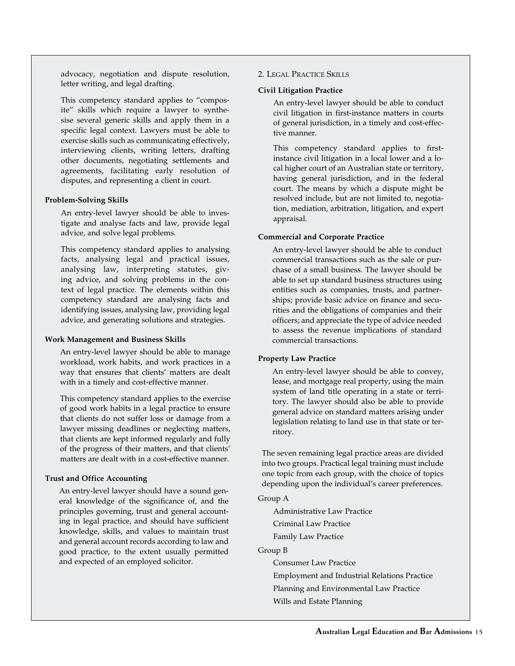advocacy, negotiation and dispute resolution, letter writing, and legal drafting.

This competency standard applies to "composite" skills which require a lawyer to synthesise several generic skills and apply them in a specific legal context. Lawyers must be able to exercise skills such as communicating effectively, interviewing clients, writing letters, drafting other documents, negotiating settlements and agreements, facilitating early resolution of disputes, and representing a client in court.

#### **Problem-Solving Skills**

An entry-level lawyer should be able to investigate and analyse facts and law, provide legal advice, and solve legal problems.

This competency standard applies to analysing facts, analysing legal and practical issues, analysing law, interpreting statutes, giving advice, and solving problems in the context of legal practice. The elements within this competency standard are analysing facts and identifying issues, analysing law, providing legal advice, and generating solutions and strategies.

#### **Work Management and Business Skills**

An entry-level lawyer should be able to manage workload, work habits, and work practices in a way that ensures that clients' matters are dealt with in a timely and cost-effective manner.

This competency standard applies to the exercise of good work habits in a legal practice to ensure that clients do not suffer loss or damage from a lawyer missing deadlines or neglecting matters, that clients are kept informed regularly and fully of the progress of their matters, and that clients' matters are dealt with in a cost-effective manner.

#### **Trust and Office Accounting**

An entry-level lawyer should have a sound general knowledge of the significance of, and the principles governing, trust and general accounting in legal practice, and should have sufficient knowledge, skills, and values to maintain trust and general account records according to law and good practice, to the extent usually permitted and expected of an employed solicitor.

#### 2. Legal Practice Skills

#### **Civil Litigation Practice**

An entry-level lawyer should be able to conduct civil litigation in first-instance matters in courts of general jurisdiction, in a timely and cost-effective manner.

This competency standard applies to firstinstance civil litigation in a local lower and a local higher court of an Australian state or territory, having general jurisdiction, and in the federal court. The means by which a dispute might be resolved include, but are not limited to, negotiation, mediation, arbitration, litigation, and expert appraisal.

#### **Commercial and Corporate Practice**

An entry-level lawyer should be able to conduct commercial transactions such as the sale or purchase of a small business. The lawyer should be able to set up standard business structures using entities such as companies, trusts, and partnerships; provide basic advice on finance and securities and the obligations of companies and their officers; and appreciate the type of advice needed to assess the revenue implications of standard commercial transactions.

#### **Property Law Practice**

An entry-level lawyer should be able to convey, lease, and mortgage real property, using the main system of land title operating in a state or territory. The lawyer should also be able to provide general advice on standard matters arising under legislation relating to land use in that state or territory.

The seven remaining legal practice areas are divided into two groups. Practical legal training must include one topic from each group, with the choice of topics depending upon the individual's career preferences.

#### Group A

Administrative Law Practice Criminal Law Practice Family Law Practice

Group B

Consumer Law Practice

Employment and Industrial Relations Practice

Planning and Environmental Law Practice

Wills and Estate Planning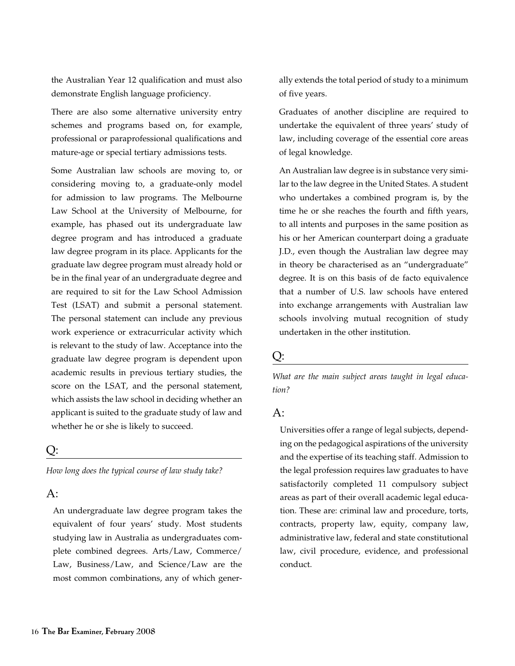the Australian Year 12 qualification and must also demonstrate English language proficiency.

There are also some alternative university entry schemes and programs based on, for example, professional or paraprofessional qualifications and mature-age or special tertiary admissions tests.

Some Australian law schools are moving to, or considering moving to, a graduate-only model for admission to law programs. The Melbourne Law School at the University of Melbourne, for example, has phased out its undergraduate law degree program and has introduced a graduate law degree program in its place. Applicants for the graduate law degree program must already hold or be in the final year of an undergraduate degree and are required to sit for the Law School Admission Test (LSAT) and submit a personal statement. The personal statement can include any previous work experience or extracurricular activity which is relevant to the study of law. Acceptance into the graduate law degree program is dependent upon academic results in previous tertiary studies, the score on the LSAT, and the personal statement, which assists the law school in deciding whether an applicant is suited to the graduate study of law and whether he or she is likely to succeed.

#### $\rm{O}$ :

*How long does the typical course of law study take?*

## A:

An undergraduate law degree program takes the equivalent of four years' study. Most students studying law in Australia as undergraduates complete combined degrees. Arts/Law, Commerce/ Law, Business/Law, and Science/Law are the most common combinations, any of which gener-

ally extends the total period of study to a minimum of five years.

Graduates of another discipline are required to undertake the equivalent of three years' study of law, including coverage of the essential core areas of legal knowledge.

An Australian law degree is in substance very similar to the law degree in the United States. A student who undertakes a combined program is, by the time he or she reaches the fourth and fifth years, to all intents and purposes in the same position as his or her American counterpart doing a graduate J.D., even though the Australian law degree may in theory be characterised as an "undergraduate" degree. It is on this basis of de facto equivalence that a number of U.S. law schools have entered into exchange arrangements with Australian law schools involving mutual recognition of study undertaken in the other institution.

#### Q:

*What are the main subject areas taught in legal education?*

## $A$ :

Universities offer a range of legal subjects, depending on the pedagogical aspirations of the university and the expertise of its teaching staff. Admission to the legal profession requires law graduates to have satisfactorily completed 11 compulsory subject areas as part of their overall academic legal education. These are: criminal law and procedure, torts, contracts, property law, equity, company law, administrative law, federal and state constitutional law, civil procedure, evidence, and professional conduct.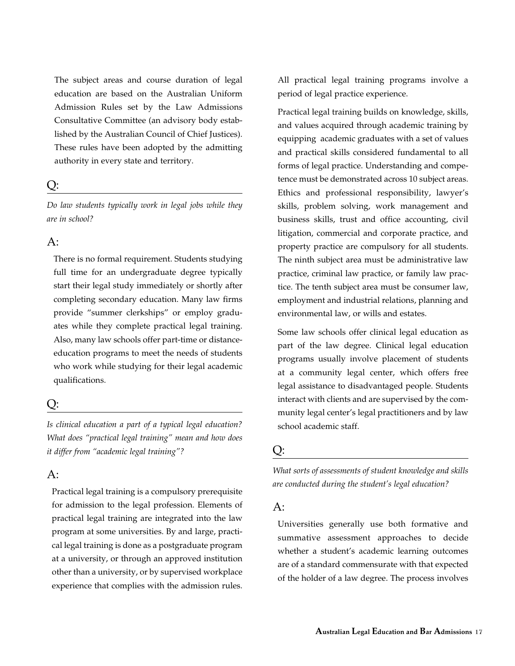The subject areas and course duration of legal education are based on the Australian Uniform Admission Rules set by the Law Admissions Consultative Committee (an advisory body established by the Australian Council of Chief Justices). These rules have been adopted by the admitting authority in every state and territory.

# $O:$

*Do law students typically work in legal jobs while they are in school?*

## $A$ :

There is no formal requirement. Students studying full time for an undergraduate degree typically start their legal study immediately or shortly after completing secondary education. Many law firms provide "summer clerkships" or employ graduates while they complete practical legal training. Also, many law schools offer part-time or distanceeducation programs to meet the needs of students who work while studying for their legal academic qualifications.

# Q:

*Is clinical education a part of a typical legal education? What does "practical legal training" mean and how does it differ from "academic legal training"?*

## $A$ :

Practical legal training is a compulsory prerequisite for admission to the legal profession. Elements of practical legal training are integrated into the law program at some universities. By and large, practical legal training is done as a postgraduate program at a university, or through an approved institution other than a university, or by supervised workplace experience that complies with the admission rules.

All practical legal training programs involve a period of legal practice experience.

Practical legal training builds on knowledge, skills, and values acquired through academic training by equipping academic graduates with a set of values and practical skills considered fundamental to all forms of legal practice. Understanding and competence must be demonstrated across 10 subject areas. Ethics and professional responsibility, lawyer's skills, problem solving, work management and business skills, trust and office accounting, civil litigation, commercial and corporate practice, and property practice are compulsory for all students. The ninth subject area must be administrative law practice, criminal law practice, or family law practice. The tenth subject area must be consumer law, employment and industrial relations, planning and environmental law, or wills and estates.

Some law schools offer clinical legal education as part of the law degree. Clinical legal education programs usually involve placement of students at a community legal center, which offers free legal assistance to disadvantaged people. Students interact with clients and are supervised by the community legal center's legal practitioners and by law school academic staff.

# Q:

*What sorts of assessments of student knowledge and skills are conducted during the student's legal education?*

## A:

Universities generally use both formative and summative assessment approaches to decide whether a student's academic learning outcomes are of a standard commensurate with that expected of the holder of a law degree. The process involves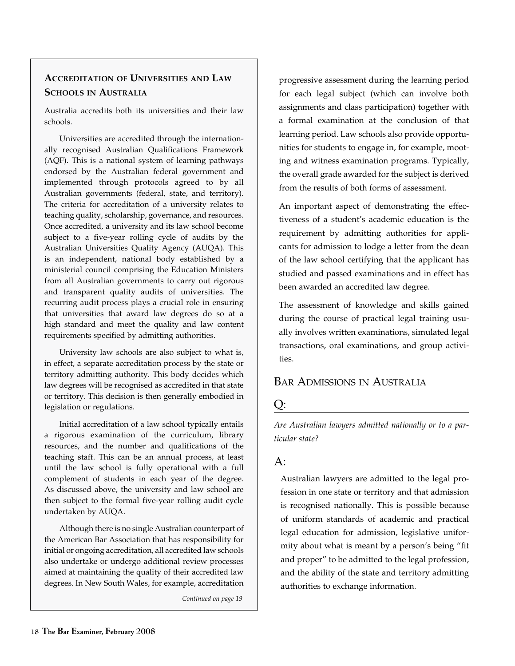# **Accreditation of Universities and Law Schools in Australia**

Australia accredits both its universities and their law schools.

Universities are accredited through the internationally recognised Australian Qualifications Framework (AQF). This is a national system of learning pathways endorsed by the Australian federal government and implemented through protocols agreed to by all Australian governments (federal, state, and territory). The criteria for accreditation of a university relates to teaching quality, scholarship, governance, and resources. Once accredited, a university and its law school become subject to a five-year rolling cycle of audits by the Australian Universities Quality Agency (AUQA). This is an independent, national body established by a ministerial council comprising the Education Ministers from all Australian governments to carry out rigorous and transparent quality audits of universities. The recurring audit process plays a crucial role in ensuring that universities that award law degrees do so at a high standard and meet the quality and law content requirements specified by admitting authorities.

University law schools are also subject to what is, in effect, a separate accreditation process by the state or territory admitting authority. This body decides which law degrees will be recognised as accredited in that state or territory. This decision is then generally embodied in legislation or regulations.

Initial accreditation of a law school typically entails a rigorous examination of the curriculum, library resources, and the number and qualifications of the teaching staff. This can be an annual process, at least until the law school is fully operational with a full complement of students in each year of the degree. As discussed above, the university and law school are then subject to the formal five-year rolling audit cycle undertaken by AUQA.

Although there is no single Australian counterpart of the American Bar Association that has responsibility for initial or ongoing accreditation, all accredited law schools also undertake or undergo additional review processes aimed at maintaining the quality of their accredited law degrees. In New South Wales, for example, accreditation

*Continued on page 19*

progressive assessment during the learning period for each legal subject (which can involve both assignments and class participation) together with a formal examination at the conclusion of that learning period. Law schools also provide opportunities for students to engage in, for example, mooting and witness examination programs. Typically, the overall grade awarded for the subject is derived from the results of both forms of assessment.

An important aspect of demonstrating the effectiveness of a student's academic education is the requirement by admitting authorities for applicants for admission to lodge a letter from the dean of the law school certifying that the applicant has studied and passed examinations and in effect has been awarded an accredited law degree.

The assessment of knowledge and skills gained during the course of practical legal training usually involves written examinations, simulated legal transactions, oral examinations, and group activities.

#### Bar Admissions in Australia

## Q:

*Are Australian lawyers admitted nationally or to a particular state?*

# $A$ :

Australian lawyers are admitted to the legal profession in one state or territory and that admission is recognised nationally. This is possible because of uniform standards of academic and practical legal education for admission, legislative uniformity about what is meant by a person's being "fit and proper" to be admitted to the legal profession, and the ability of the state and territory admitting authorities to exchange information.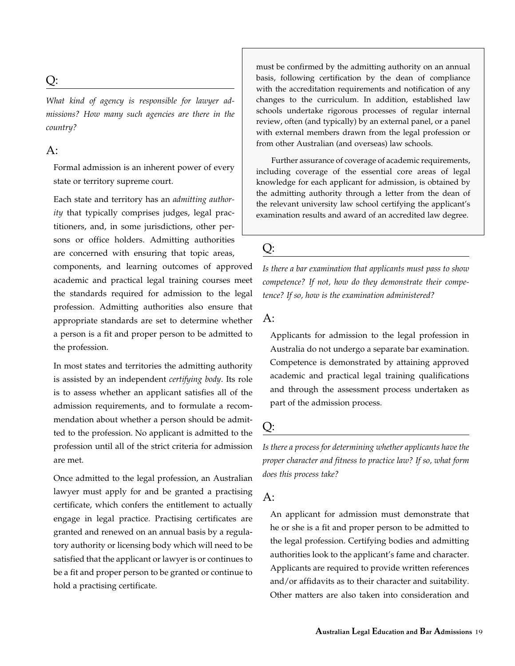# Q:

*What kind of agency is responsible for lawyer admissions? How many such agencies are there in the country?*

## $A$ :

Formal admission is an inherent power of every state or territory supreme court.

Each state and territory has an *admitting authority* that typically comprises judges, legal practitioners, and, in some jurisdictions, other persons or office holders. Admitting authorities are concerned with ensuring that topic areas,

components, and learning outcomes of approved academic and practical legal training courses meet the standards required for admission to the legal profession. Admitting authorities also ensure that appropriate standards are set to determine whether a person is a fit and proper person to be admitted to the profession.

In most states and territories the admitting authority is assisted by an independent *certifying body*. Its role is to assess whether an applicant satisfies all of the admission requirements, and to formulate a recommendation about whether a person should be admitted to the profession. No applicant is admitted to the profession until all of the strict criteria for admission are met.

Once admitted to the legal profession, an Australian lawyer must apply for and be granted a practising certificate, which confers the entitlement to actually engage in legal practice. Practising certificates are granted and renewed on an annual basis by a regulatory authority or licensing body which will need to be satisfied that the applicant or lawyer is or continues to be a fit and proper person to be granted or continue to hold a practising certificate.

must be confirmed by the admitting authority on an annual basis, following certification by the dean of compliance with the accreditation requirements and notification of any changes to the curriculum. In addition, established law schools undertake rigorous processes of regular internal review, often (and typically) by an external panel, or a panel with external members drawn from the legal profession or from other Australian (and overseas) law schools.

Further assurance of coverage of academic requirements, including coverage of the essential core areas of legal knowledge for each applicant for admission, is obtained by the admitting authority through a letter from the dean of the relevant university law school certifying the applicant's examination results and award of an accredited law degree.

# Q:

*Is there a bar examination that applicants must pass to show competence? If not, how do they demonstrate their competence? If so, how is the examination administered?*

#### A:

Applicants for admission to the legal profession in Australia do not undergo a separate bar examination. Competence is demonstrated by attaining approved academic and practical legal training qualifications and through the assessment process undertaken as part of the admission process.

# Q:

*Is there a process for determining whether applicants have the proper character and fitness to practice law? If so, what form does this process take?*

# $A$ :

An applicant for admission must demonstrate that he or she is a fit and proper person to be admitted to the legal profession. Certifying bodies and admitting authorities look to the applicant's fame and character. Applicants are required to provide written references and/or affidavits as to their character and suitability. Other matters are also taken into consideration and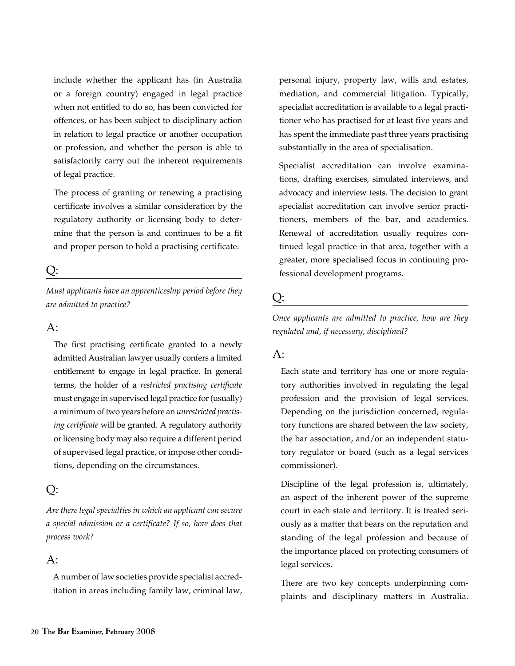include whether the applicant has (in Australia or a foreign country) engaged in legal practice when not entitled to do so, has been convicted for offences, or has been subject to disciplinary action in relation to legal practice or another occupation or profession, and whether the person is able to satisfactorily carry out the inherent requirements of legal practice.

The process of granting or renewing a practising certificate involves a similar consideration by the regulatory authority or licensing body to determine that the person is and continues to be a fit and proper person to hold a practising certificate.

# Q:

*Must applicants have an apprenticeship period before they are admitted to practice?*

#### $A$ :

The first practising certificate granted to a newly admitted Australian lawyer usually confers a limited entitlement to engage in legal practice. In general terms, the holder of a *restricted practising certificate* must engage in supervised legal practice for (usually) a minimum of two years before an *unrestricted practising certificate* will be granted. A regulatory authority or licensing body may also require a different period of supervised legal practice, or impose other conditions, depending on the circumstances.

# Q:

*Are there legal specialties in which an applicant can secure a special admission or a certificate? If so, how does that process work?*

## A:

A number of law societies provide specialist accreditation in areas including family law, criminal law, personal injury, property law, wills and estates, mediation, and commercial litigation. Typically, specialist accreditation is available to a legal practitioner who has practised for at least five years and has spent the immediate past three years practising substantially in the area of specialisation.

Specialist accreditation can involve examinations, drafting exercises, simulated interviews, and advocacy and interview tests. The decision to grant specialist accreditation can involve senior practitioners, members of the bar, and academics. Renewal of accreditation usually requires continued legal practice in that area, together with a greater, more specialised focus in continuing professional development programs.

# Q:

*Once applicants are admitted to practice, how are they regulated and, if necessary, disciplined?*

## A:

Each state and territory has one or more regulatory authorities involved in regulating the legal profession and the provision of legal services. Depending on the jurisdiction concerned, regulatory functions are shared between the law society, the bar association, and/or an independent statutory regulator or board (such as a legal services commissioner).

Discipline of the legal profession is, ultimately, an aspect of the inherent power of the supreme court in each state and territory. It is treated seriously as a matter that bears on the reputation and standing of the legal profession and because of the importance placed on protecting consumers of legal services.

There are two key concepts underpinning complaints and disciplinary matters in Australia.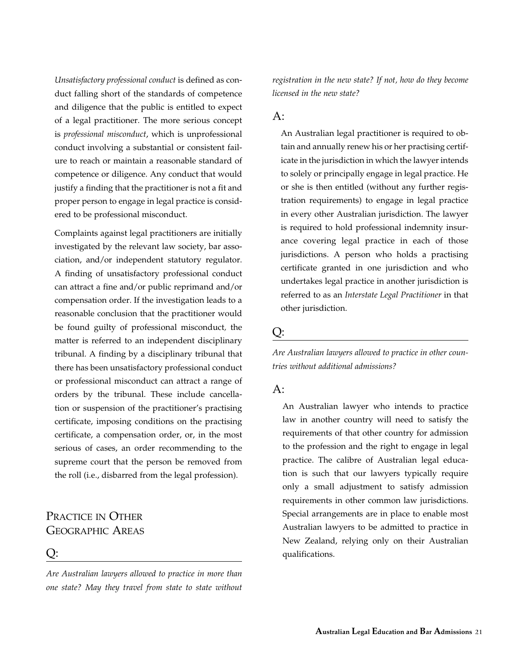*Unsatisfactory professional conduct* is defined as conduct falling short of the standards of competence and diligence that the public is entitled to expect of a legal practitioner. The more serious concept is *professional misconduct*, which is unprofessional conduct involving a substantial or consistent failure to reach or maintain a reasonable standard of competence or diligence. Any conduct that would justify a finding that the practitioner is not a fit and proper person to engage in legal practice is considered to be professional misconduct.

Complaints against legal practitioners are initially investigated by the relevant law society, bar association, and/or independent statutory regulator. A finding of unsatisfactory professional conduct can attract a fine and/or public reprimand and/or compensation order. If the investigation leads to a reasonable conclusion that the practitioner would be found guilty of professional misconduct*,* the matter is referred to an independent disciplinary tribunal. A finding by a disciplinary tribunal that there has been unsatisfactory professional conduct or professional misconduct can attract a range of orders by the tribunal. These include cancellation or suspension of the practitioner's practising certificate, imposing conditions on the practising certificate, a compensation order, or, in the most serious of cases, an order recommending to the supreme court that the person be removed from the roll (i.e., disbarred from the legal profession).

# Practice in Other Geographic Areas

#### Q:

*Are Australian lawyers allowed to practice in more than one state? May they travel from state to state without* 

*registration in the new state? If not, how do they become licensed in the new state?*

#### $A$ :

An Australian legal practitioner is required to obtain and annually renew his or her practising certificate in the jurisdiction in which the lawyer intends to solely or principally engage in legal practice. He or she is then entitled (without any further registration requirements) to engage in legal practice in every other Australian jurisdiction. The lawyer is required to hold professional indemnity insurance covering legal practice in each of those jurisdictions. A person who holds a practising certificate granted in one jurisdiction and who undertakes legal practice in another jurisdiction is referred to as an *Interstate Legal Practitioner* in that other jurisdiction.

#### Q:

*Are Australian lawyers allowed to practice in other countries without additional admissions?*

#### $A$ :

An Australian lawyer who intends to practice law in another country will need to satisfy the requirements of that other country for admission to the profession and the right to engage in legal practice. The calibre of Australian legal education is such that our lawyers typically require only a small adjustment to satisfy admission requirements in other common law jurisdictions. Special arrangements are in place to enable most Australian lawyers to be admitted to practice in New Zealand, relying only on their Australian qualifications.